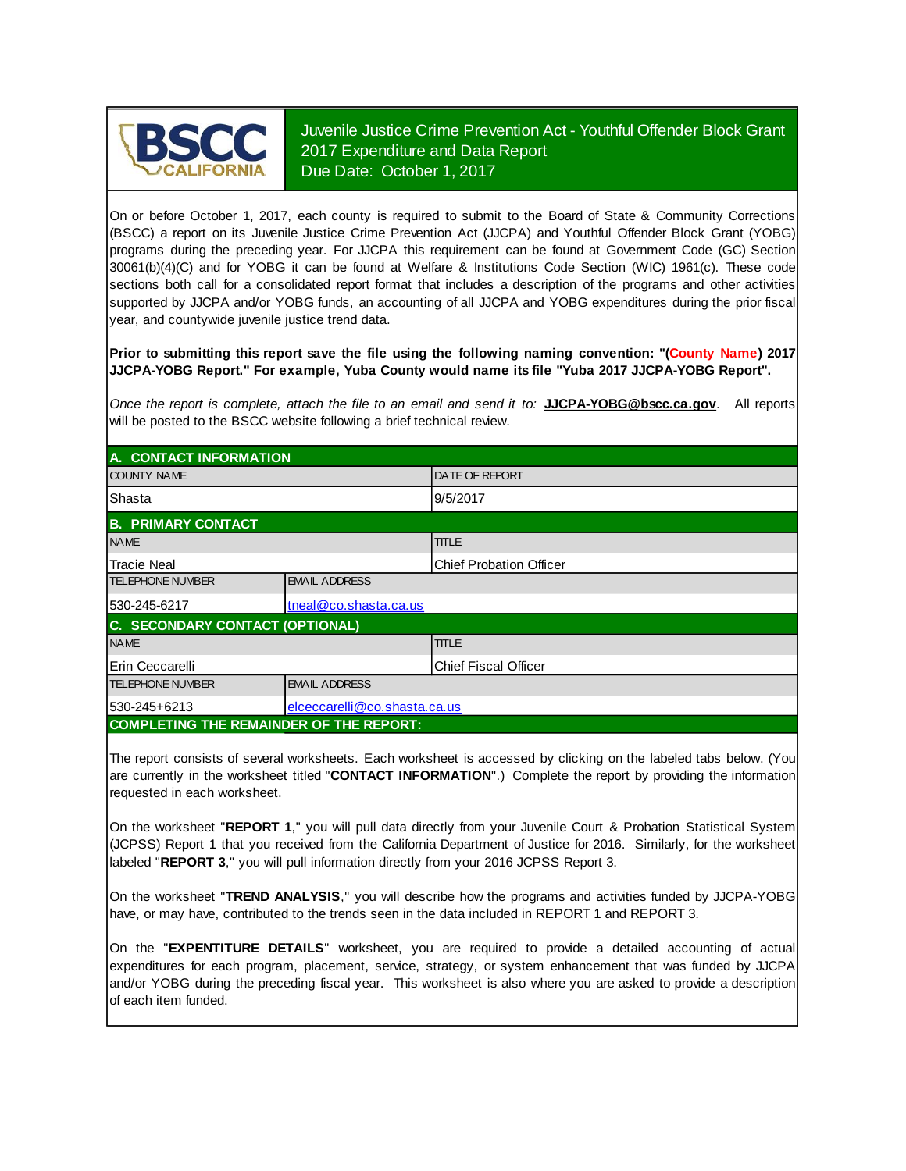

Juvenile Justice Crime Prevention Act - Youthful Offender Block Grant 2017 Expenditure and Data Report Due Date: October 1, 2017

On or before October 1, 2017, each county is required to submit to the Board of State & Community Corrections (BSCC) <sup>a</sup> report on its Juvenile Justice Crime Prevention Act (JJCPA) and Youthful Offender Block Grant (YOBG) programs during the preceding year. For JJCPA this requirement can be found at Government Code (GC) Section 30061(b)(4)(C) and for YOBG it can be found at Welfare & Institutions Code Section (WIC) 1961(c). These code sections both call for <sup>a</sup> consolidated report format that includes <sup>a</sup> description of the programs and other activities supported by JJCPA and/or YOBG funds, an accounting of all JJCPA and YOBG expenditures during the prior fiscal year, and countywide juvenile justice trend data.

**Prior to submitting this report save the file using the following naming convention: "(County Name) 2017 JJCPA-YOBG Report." For example, Yuba County would name its file "Yuba 2017 JJCPA-YOBG Report".**

*Once the report is complete, attach the file t o an email and send it to:* **JJCPA-YOBG@bscc.ca.gov**. All reports will be posted to the BSCC website following a brief technical review.

| A. CONTACT INFORMATION                         |                              |                                |  |  |
|------------------------------------------------|------------------------------|--------------------------------|--|--|
| <b>COUNTY NAME</b>                             |                              | <b>IDATE OF REPORT</b>         |  |  |
| Shasta                                         |                              | 9/5/2017                       |  |  |
| <b>B. PRIMARY CONTACT</b>                      |                              |                                |  |  |
| <b>NAME</b>                                    |                              | <b>TITLE</b>                   |  |  |
| <b>Tracie Neal</b>                             |                              | <b>Chief Probation Officer</b> |  |  |
| <b>TELEPHONE NUMBER</b>                        | <b>EMAIL ADDRESS</b>         |                                |  |  |
| 530-245-6217                                   | tneal@co.shasta.ca.us        |                                |  |  |
| C. SECONDARY CONTACT (OPTIONAL)                |                              |                                |  |  |
| <b>NAME</b>                                    |                              | <b>TITLE</b>                   |  |  |
| Erin Ceccarelli                                |                              | <b>Chief Fiscal Officer</b>    |  |  |
| <b>TELEPHONE NUMBER</b>                        | <b>EMAIL ADDRESS</b>         |                                |  |  |
| 530-245+6213                                   | elceccarelli@co.shasta.ca.us |                                |  |  |
| <b>COMPLETING THE REMAINDER OF THE REPORT:</b> |                              |                                |  |  |

The report consists of several worksheets. Each worksheet is accessed by clicking on the labeled tabs below. (You are currently in the worksheet titled "**CONTACT INFORMATION**".) Complete the report by providing the information requested in each worksheet.

On the worksheet "**REPORT 1**, " you will pull data directly from your Juvenile Court & Probation Statistical System (JCPSS) Report 1 that you received from the California Department of Justice for 2016. Similarly, for the worksheet labeled "**REPORT 3**," you will pull information directly from your 2016 JCPSS Report 3.

On the worksheet "**TREND ANALYSIS**, " you will describe how the programs and activities funded by JJCPA-YOBG have, or may have, contributed to the trends seen in the data included in REPORT 1 and REPORT 3.

On the "EXPENTITURE DETAILS" worksheet, you are required to provide a detailed accounting of actual expenditures for each program, placement, service, strategy, or system enhancement that was funded by JJCPA and/or YOBG during the preceding fiscal year. This worksheet is also where you are asked to provide a description of each item funded.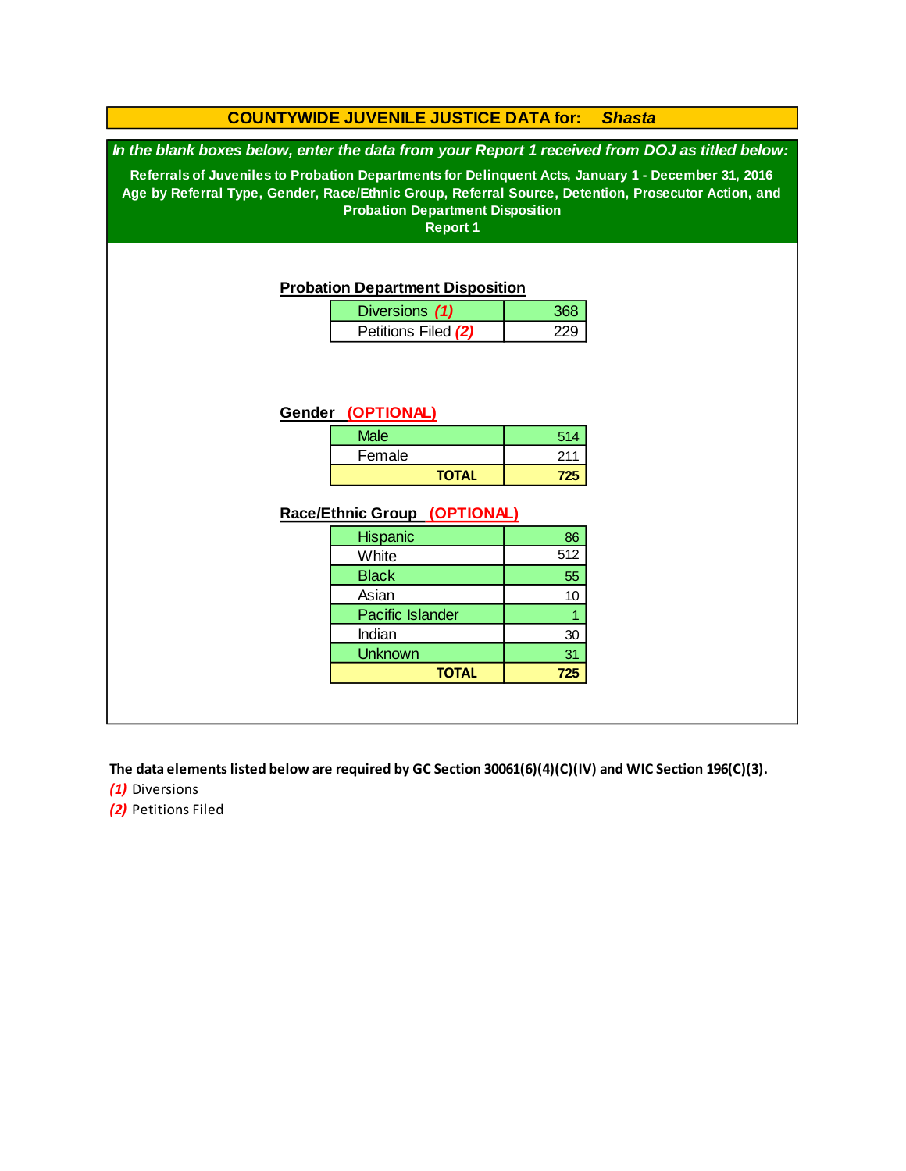## **COUNTYWIDE JUVENILE JUSTICE DATA for:** *Shasta*

*In the blank boxes below, enter the data from your Report 1 received from DOJ as titled below:*

**Referrals of Juveniles to Probation Departments for Delinquent Acts, January 1 - December 31, 2016 Age by Referral Type, Gender, Race/Ethnic Group, Referral Source, Detention, Prosecutor Action, and Probation Department Disposition**

**Report 1**

#### **Probation Department Disposition**

| Diversions (1)      |  |
|---------------------|--|
| Petitions Filed (2) |  |

#### **Gender (OPTIONAL)**

| <b>Male</b>  | 514 |
|--------------|-----|
| Female       | 211 |
| <b>TOTAL</b> | 725 |

#### **Race/Ethnic Group (OPTIONAL)**

| <b>Hispanic</b>         | 86  |
|-------------------------|-----|
| White                   | 512 |
| <b>Black</b>            | 55  |
| Asian                   | 10  |
| <b>Pacific Islander</b> |     |
| Indian                  | 30  |
| <b>Unknown</b>          | 31  |
| <b>TOTAL</b>            | 725 |

**The data elements listed below are required by GC Section 30061(6)(4)(C)(IV) and WIC Section 196(C)(3).**

*(1)* Diversions

*(2)* Petitions Filed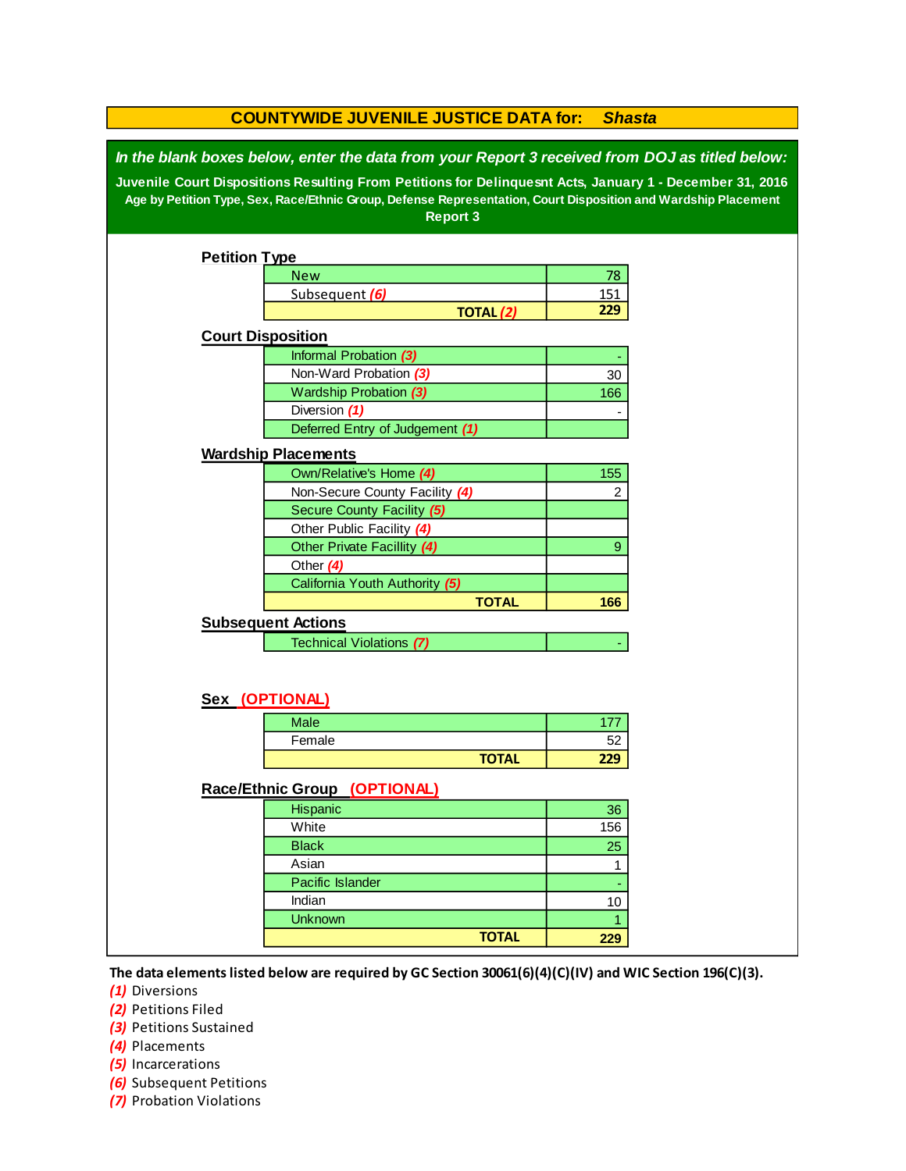| <b>COUNTYWIDE JUVENILE JUSTICE DATA for:</b><br><b>Shasta</b>                                                                                                                                                                                                                                                                                   |                                 |                  |              |  |  |  |
|-------------------------------------------------------------------------------------------------------------------------------------------------------------------------------------------------------------------------------------------------------------------------------------------------------------------------------------------------|---------------------------------|------------------|--------------|--|--|--|
| In the blank boxes below, enter the data from your Report 3 received from DOJ as titled below:<br>Juvenile Court Dispositions Resulting From Petitions for Delinquesnt Acts, January 1 - December 31, 2016<br>Age by Petition Type, Sex, Race/Ethnic Group, Defense Representation, Court Disposition and Wardship Placement<br><b>Report 3</b> |                                 |                  |              |  |  |  |
| <b>Petition Type</b>                                                                                                                                                                                                                                                                                                                            |                                 |                  |              |  |  |  |
|                                                                                                                                                                                                                                                                                                                                                 | <b>New</b>                      |                  | 78           |  |  |  |
|                                                                                                                                                                                                                                                                                                                                                 | Subsequent (6)                  |                  | 151          |  |  |  |
|                                                                                                                                                                                                                                                                                                                                                 |                                 | <b>TOTAL (2)</b> | 229          |  |  |  |
| <b>Court Disposition</b>                                                                                                                                                                                                                                                                                                                        |                                 |                  |              |  |  |  |
|                                                                                                                                                                                                                                                                                                                                                 | Informal Probation (3)          |                  |              |  |  |  |
|                                                                                                                                                                                                                                                                                                                                                 | Non-Ward Probation (3)          |                  | 30           |  |  |  |
|                                                                                                                                                                                                                                                                                                                                                 | Wardship Probation (3)          |                  | 166          |  |  |  |
|                                                                                                                                                                                                                                                                                                                                                 | Diversion (1)                   |                  |              |  |  |  |
|                                                                                                                                                                                                                                                                                                                                                 | Deferred Entry of Judgement (1) |                  |              |  |  |  |
|                                                                                                                                                                                                                                                                                                                                                 | <b>Wardship Placements</b>      |                  |              |  |  |  |
|                                                                                                                                                                                                                                                                                                                                                 | Own/Relative's Home (4)         |                  | 155          |  |  |  |
|                                                                                                                                                                                                                                                                                                                                                 | Non-Secure County Facility (4)  |                  | 2            |  |  |  |
|                                                                                                                                                                                                                                                                                                                                                 | Secure County Facility (5)      |                  |              |  |  |  |
|                                                                                                                                                                                                                                                                                                                                                 | Other Public Facility (4)       |                  |              |  |  |  |
|                                                                                                                                                                                                                                                                                                                                                 | Other Private Facillity (4)     |                  | 9            |  |  |  |
|                                                                                                                                                                                                                                                                                                                                                 | Other $(4)$                     |                  |              |  |  |  |
|                                                                                                                                                                                                                                                                                                                                                 | California Youth Authority (5)  |                  |              |  |  |  |
|                                                                                                                                                                                                                                                                                                                                                 |                                 | <b>TOTAL</b>     | 166          |  |  |  |
|                                                                                                                                                                                                                                                                                                                                                 | <b>Subsequent Actions</b>       |                  |              |  |  |  |
|                                                                                                                                                                                                                                                                                                                                                 | Technical Violations (7)        |                  |              |  |  |  |
|                                                                                                                                                                                                                                                                                                                                                 |                                 |                  |              |  |  |  |
|                                                                                                                                                                                                                                                                                                                                                 | Sex (OPTIONAL)                  |                  |              |  |  |  |
|                                                                                                                                                                                                                                                                                                                                                 | <b>Male</b>                     |                  | 177          |  |  |  |
|                                                                                                                                                                                                                                                                                                                                                 | Female                          | <b>TOTAL</b>     | 52<br>229    |  |  |  |
|                                                                                                                                                                                                                                                                                                                                                 |                                 |                  |              |  |  |  |
|                                                                                                                                                                                                                                                                                                                                                 | Race/Ethnic Group (OPTIONAL)    |                  |              |  |  |  |
|                                                                                                                                                                                                                                                                                                                                                 | Hispanic                        |                  | 36           |  |  |  |
|                                                                                                                                                                                                                                                                                                                                                 | White                           |                  | 156          |  |  |  |
|                                                                                                                                                                                                                                                                                                                                                 | <b>Black</b>                    |                  | 25           |  |  |  |
|                                                                                                                                                                                                                                                                                                                                                 | Asian                           |                  | 1            |  |  |  |
|                                                                                                                                                                                                                                                                                                                                                 | Pacific Islander                |                  |              |  |  |  |
|                                                                                                                                                                                                                                                                                                                                                 | Indian                          |                  | 10           |  |  |  |
|                                                                                                                                                                                                                                                                                                                                                 | <b>Unknown</b>                  |                  | $\mathbf{1}$ |  |  |  |
|                                                                                                                                                                                                                                                                                                                                                 |                                 | <b>TOTAL</b>     | 229          |  |  |  |
|                                                                                                                                                                                                                                                                                                                                                 |                                 |                  |              |  |  |  |

**The data elements listed below are required by GC Section 30061(6)(4)(C)(IV) and WIC Section 196(C)(3).**

*(1)* Diversions

*(2)* Petitions Filed

**(3)** Petitions Sustained

*(4)* Placements

*(5)* Incarcerations

- *(6)* Subsequent Petitions
- *(7)* Probation Violations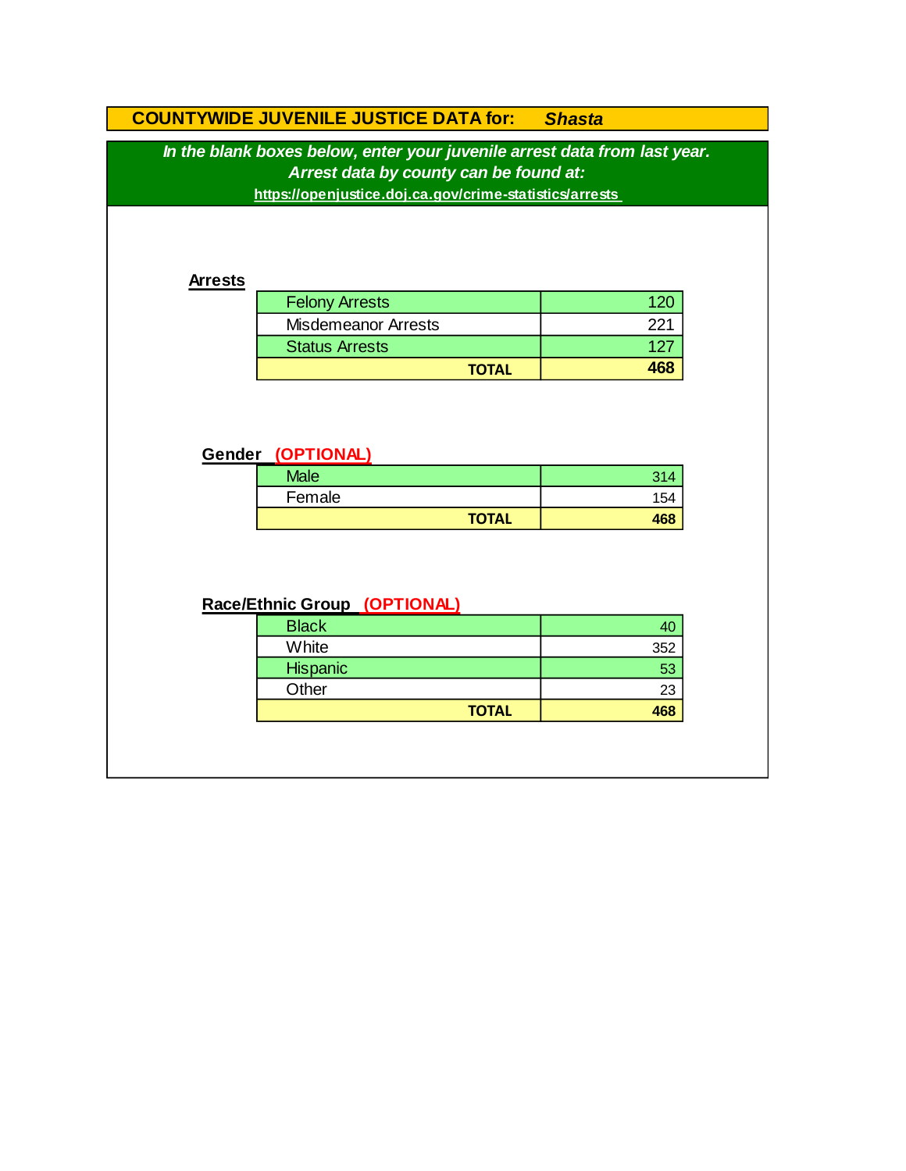# **COUNTYWIDE JUVENILE JUSTICE DATA for:** *Shasta*

*In the blank boxes below, enter your juvenile arrest data from last year. Arrest data by county can be found at:*

**https://openjustice.doj.ca.gov/crime-statistics/arrests** 

### **Arrests**

| <b>Felony Arrests</b>      |     |
|----------------------------|-----|
| <b>Misdemeanor Arrests</b> | ワワ・ |
| <b>Status Arrests</b>      | 127 |
| <b>TOTAL</b>               |     |

## **Gender (OPTIONAL)**

| <b>Male</b> |              | ົ   |
|-------------|--------------|-----|
| Female      |              | 154 |
|             | <b>TOTAL</b> |     |

# **Race/Ethnic Group (OPTIONAL)**

| <b>Black</b> |     |
|--------------|-----|
| White        | 352 |
| Hispanic     | 53  |
| Other        | 23  |
| <b>TOTAL</b> | 468 |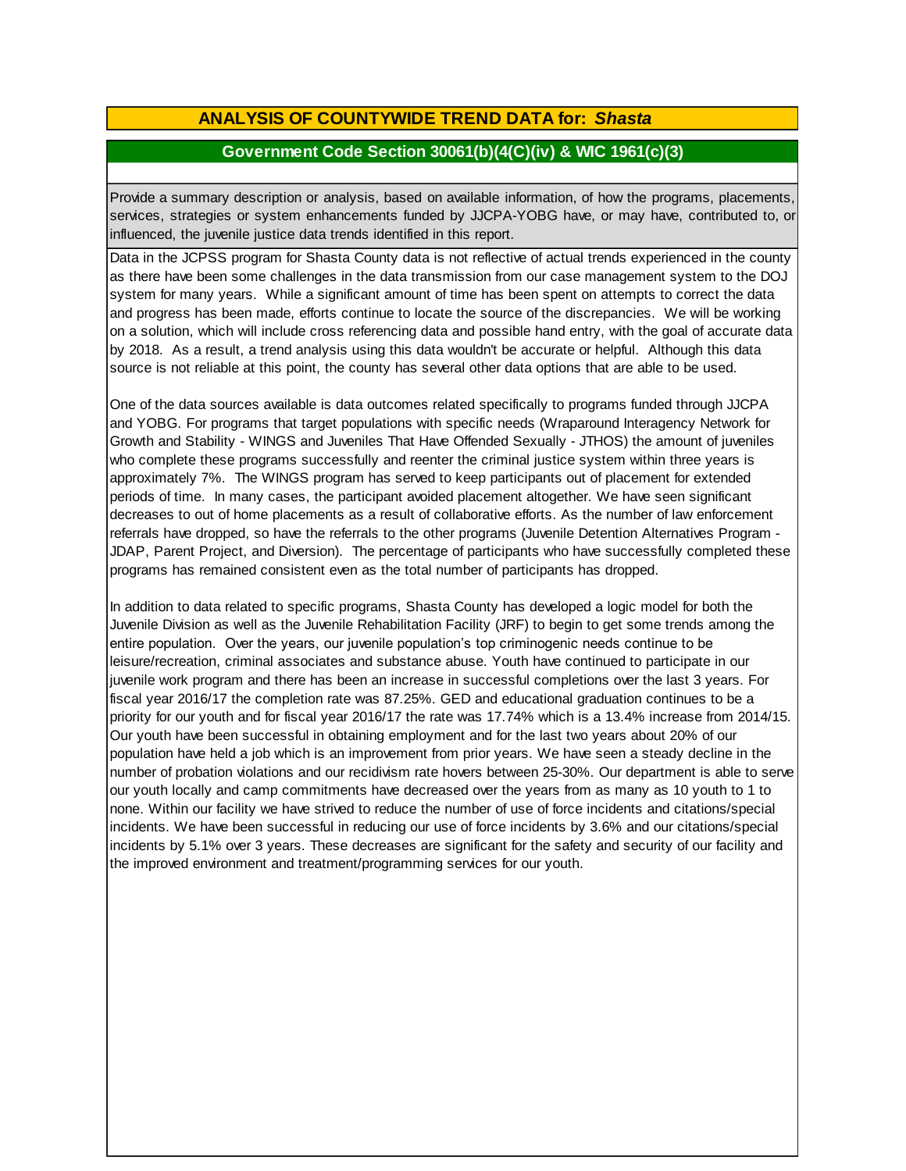# **ANALYSIS OF COUNTYWIDE TREND DATA for:** *Shasta*

## **Government Code Section 30061(b)(4(C)(iv) & WIC 1961(c)(3)**

Provide <sup>a</sup> summary description or analysis, based on available information, of how the programs, placements, services, strategies or system enhancements funded by JJCPA-YOBG have, or may have, contributed to, or influenced, the juvenile justice data trends identified in this report.

Data in the JCPSS program for Shasta County data is not reflective of actual trends experienced in the county as there have been some challenges in the data transmission from our case management system to the DOJ system for many years. While a significant amount of time has been spent on attempts to correct the data and progress has been made, efforts continue to locate the source of the discrepancies. We will be working on a solution, which will include cross referencing data and possible hand entry, with the goal of accurate data by 2018. As a result, a trend analysis using this data wouldn't be accurate or helpful. Although this data source is not reliable at this point, the county has several other data options that are able to be used.

One of the data sources available is data outcomes related specifically to programs funded through JJCPA and YOBG. For programs that target populations with specific needs (Wraparound Interagency Network for Growth and Stability - WINGS and Juveniles That Have Offended Sexually - JTHOS) the amount of juveniles who complete these programs successfully and reenter the criminal justice system within three years is approximately 7%. The WINGS program has served to keep participants out of placement for extended periods of time. In many cases, the participant avoided placement altogether. We have seen significant decreases to out of home placements as a result of collaborative efforts. As the number of law enforcement referrals have dropped, so have the referrals to the other programs (Juvenile Detention Alternatives Program - JDAP, Parent Project, and Diversion). The percentage of participants who have successfully completed these programs has remained consistent even as the total number of participants has dropped.

In addition to data related to specific programs, Shasta County has developed a logic model for both the Juvenile Division as well as the Juvenile Rehabilitation Facility (JRF) to begin to get some trends among the entire population. Over the years, our juvenile population's top criminogenic needs continue to be leisure/recreation, criminal associates and substance abuse. Youth have continued to participate in our juvenile work program and there has been an increase in successful completions over the last 3 years. For fiscal year 2016/17 the completion rate was 87.25%. GED and educational graduation continues to be a priority for our youth and for fiscal year 2016/17 the rate was 17.74% which is a 13.4% increase from 2014/15. Our youth have been successful in obtaining employment and for the last two years about 20% of our population have held a job which is an improvement from prior years. We have seen a steady decline in the number of probation violations and our recidivism rate hovers between 25-30%. Our department is able to serve our youth locally and camp commitments have decreased over the years from as many as 10 youth to 1 to none. Within our facility we have strived to reduce the number of use of force incidents and citations/special incidents. We have been successful in reducing our use of force incidents by 3.6% and our citations/special incidents by 5.1% over 3 years. These decreases are significant for the safety and security of our facility and the improved environment and treatment/programming services for our youth.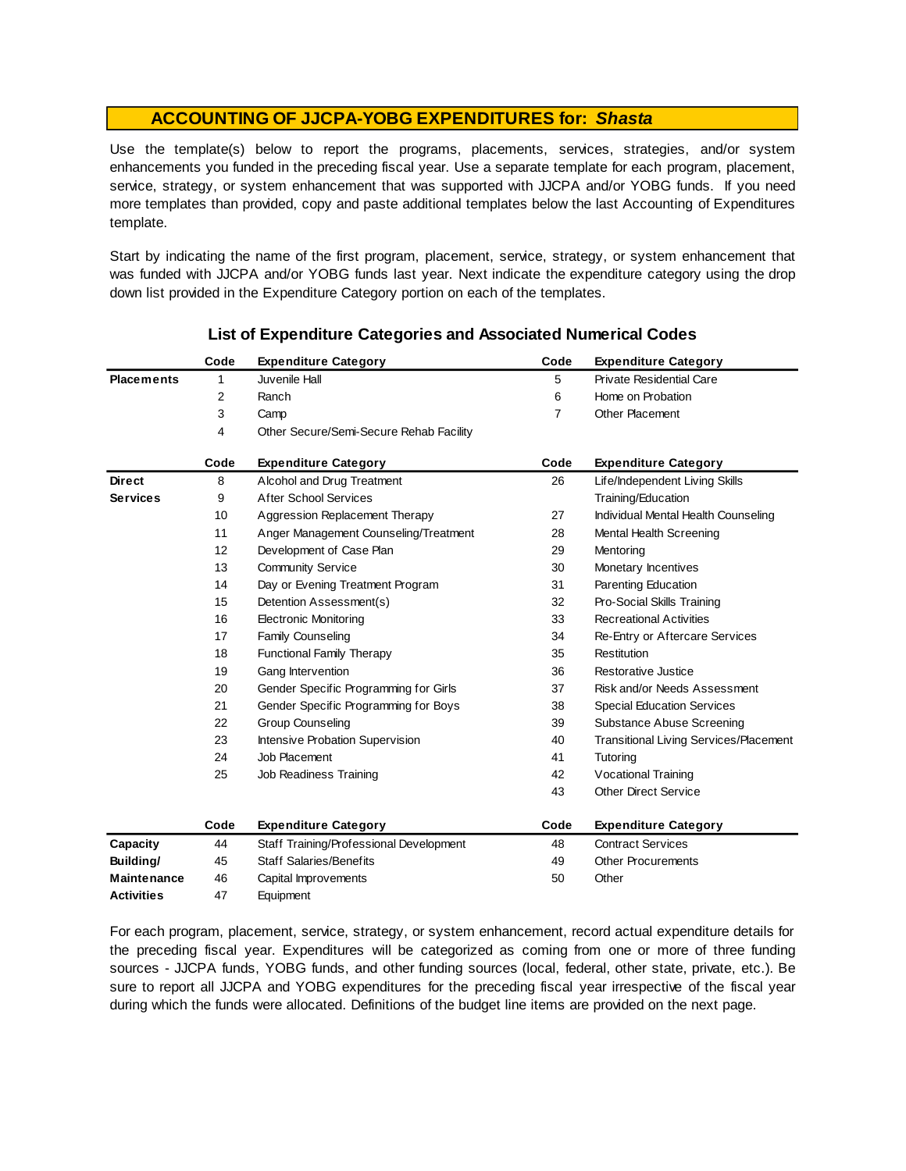Use the template(s) below to report the programs, placements, services, strategies, and/or system enhancements you funded in the preceding fiscal year. Use <sup>a</sup> separate template for each program, placement, service, strategy, or system enhancement that was supported with JJCPA and/or YOBG funds. If you need more templates than provided, copy and paste additional templates below the last Accounting of Expenditures template.

Start by indicating the name of the first program, placement, service, strategy, or system enhancement that was funded with JJCPA and/or YOBG funds last year. Next indicate the expenditure category using the drop down list provided in the Expenditure Category portion on each of the templates.

|                    | Code | <b>Expenditure Category</b>             | Code           | <b>Expenditure Category</b>                   |
|--------------------|------|-----------------------------------------|----------------|-----------------------------------------------|
| <b>Placements</b>  | 1    | Juvenile Hall                           | 5              | <b>Private Residential Care</b>               |
|                    | 2    | Ranch                                   | 6              | Home on Probation                             |
|                    | 3    | Camp                                    | $\overline{7}$ | <b>Other Placement</b>                        |
|                    | 4    | Other Secure/Semi-Secure Rehab Facility |                |                                               |
|                    | Code | <b>Expenditure Category</b>             | Code           | <b>Expenditure Category</b>                   |
| <b>Direct</b>      | 8    | Alcohol and Drug Treatment              | 26             | Life/Independent Living Skills                |
| <b>Services</b>    | 9    | <b>After School Services</b>            |                | Training/Education                            |
|                    | 10   | Aggression Replacement Therapy          | 27             | Individual Mental Health Counseling           |
|                    | 11   | Anger Management Counseling/Treatment   | 28             | Mental Health Screening                       |
|                    | 12   | Development of Case Plan                | 29             | Mentoring                                     |
|                    | 13   | <b>Community Service</b>                | 30             | Monetary Incentives                           |
|                    | 14   | Day or Evening Treatment Program        | 31             | Parenting Education                           |
|                    | 15   | Detention Assessment(s)                 | 32             | Pro-Social Skills Training                    |
|                    | 16   | <b>Electronic Monitoring</b>            | 33             | <b>Recreational Activities</b>                |
|                    | 17   | <b>Family Counseling</b>                | 34             | Re-Entry or Aftercare Services                |
|                    | 18   | <b>Functional Family Therapy</b>        | 35             | Restitution                                   |
|                    | 19   | Gang Intervention                       | 36             | Restorative Justice                           |
|                    | 20   | Gender Specific Programming for Girls   | 37             | Risk and/or Needs Assessment                  |
|                    | 21   | Gender Specific Programming for Boys    | 38             | <b>Special Education Services</b>             |
|                    | 22   | <b>Group Counseling</b>                 | 39             | Substance Abuse Screening                     |
|                    | 23   | Intensive Probation Supervision         | 40             | <b>Transitional Living Services/Placement</b> |
|                    | 24   | Job Placement                           | 41             | Tutoring                                      |
|                    | 25   | Job Readiness Training                  | 42             | Vocational Training                           |
|                    |      |                                         | 43             | <b>Other Direct Service</b>                   |
|                    | Code | <b>Expenditure Category</b>             | Code           | <b>Expenditure Category</b>                   |
| Capacity           | 44   | Staff Training/Professional Development | 48             | <b>Contract Services</b>                      |
| Building/          | 45   | <b>Staff Salaries/Benefits</b>          | 49             | <b>Other Procurements</b>                     |
| <b>Maintenance</b> | 46   | Capital Improvements                    | 50             | Other                                         |
| <b>Activities</b>  | 47   | Equipment                               |                |                                               |

## **List of Expenditure Categories and Associated Numerical Codes**

For each program, placement, service, strategy, or system enhancement, record actual expenditure details for the preceding fiscal year. Expenditures will be categorized as coming from one or more of three funding sources - JJCPA funds, YOBG funds, and other funding sources (local, federal, other state, private, etc.). Be sure to report all JJCPA and YOBG expenditures for the preceding fiscal year irrespective of the fiscal year during which the funds were allocated. Definitions of the budget line items are provided on the next page.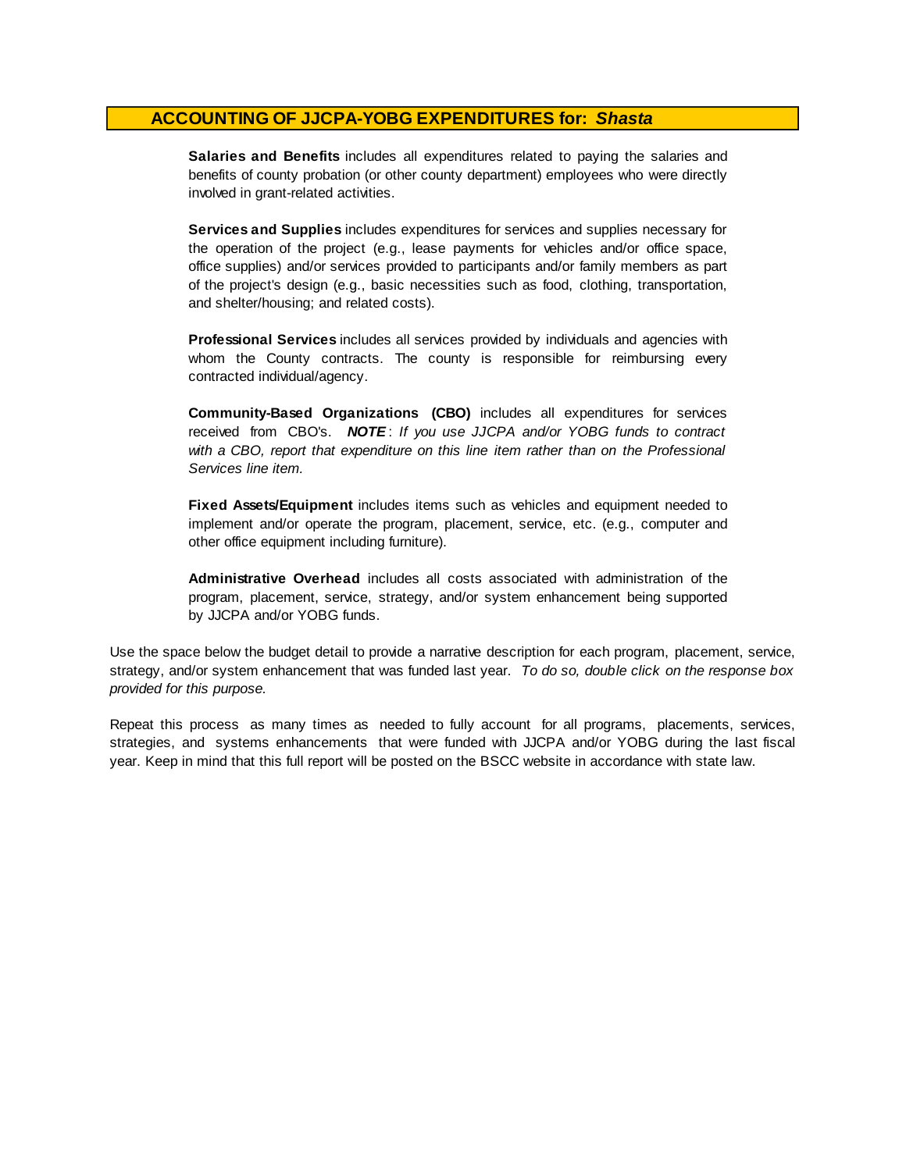**Salaries and Benefits** includes all expenditures related to paying the salaries and benefits of county probation (or other county department) employees who were directly involved in grant-related activities.

**Services and Supplies** includes expenditures for services and supplies necessary for the operation of the project (e.g., lease payments for vehicles and/or office space, office supplies) and/or services provided to participants and/or family members as part of the project's design (e.g., basic necessities such as food, clothing, transportation, and shelter/housing; and related costs).

**Professional Services** includes all services provided by individuals and agencies with whom the County contracts. The county is responsible for reimbursing every contracted individual/agency.

**Community-Based Organizations (CBO)** includes all expenditures for services received from CBO's. *NOTE* : *I f you use JJCPA and/or YOBG funds t o contract with <sup>a</sup> CBO, report that expenditure on this line item rather than on the Professional Services line item.*

**Fixed Assets/Equipment** includes items such as vehicles and equipment needed to implement and/or operate the program, placement, service, etc. (e.g., computer and other office equipment including furniture).

**Administrative Overhead** includes all costs associated with administration of the program, placement, service, strategy, and/or system enhancement being supported by JJCPA and/or YOBG funds.

Use the space below the budget detail to provide a narrative description for each program, placement, service, strategy, and/or system enhancement that was funded last year. *To do so, double click on the response box provided for this purpose.* 

Repeat this process as many times as needed to fully account for all programs, placements, services, strategies, and systems enhancements that were funded with JJCPA and/or YOBG during the last fiscal year. Keep in mind that this full report will be posted on the BSCC website in accordance with state law.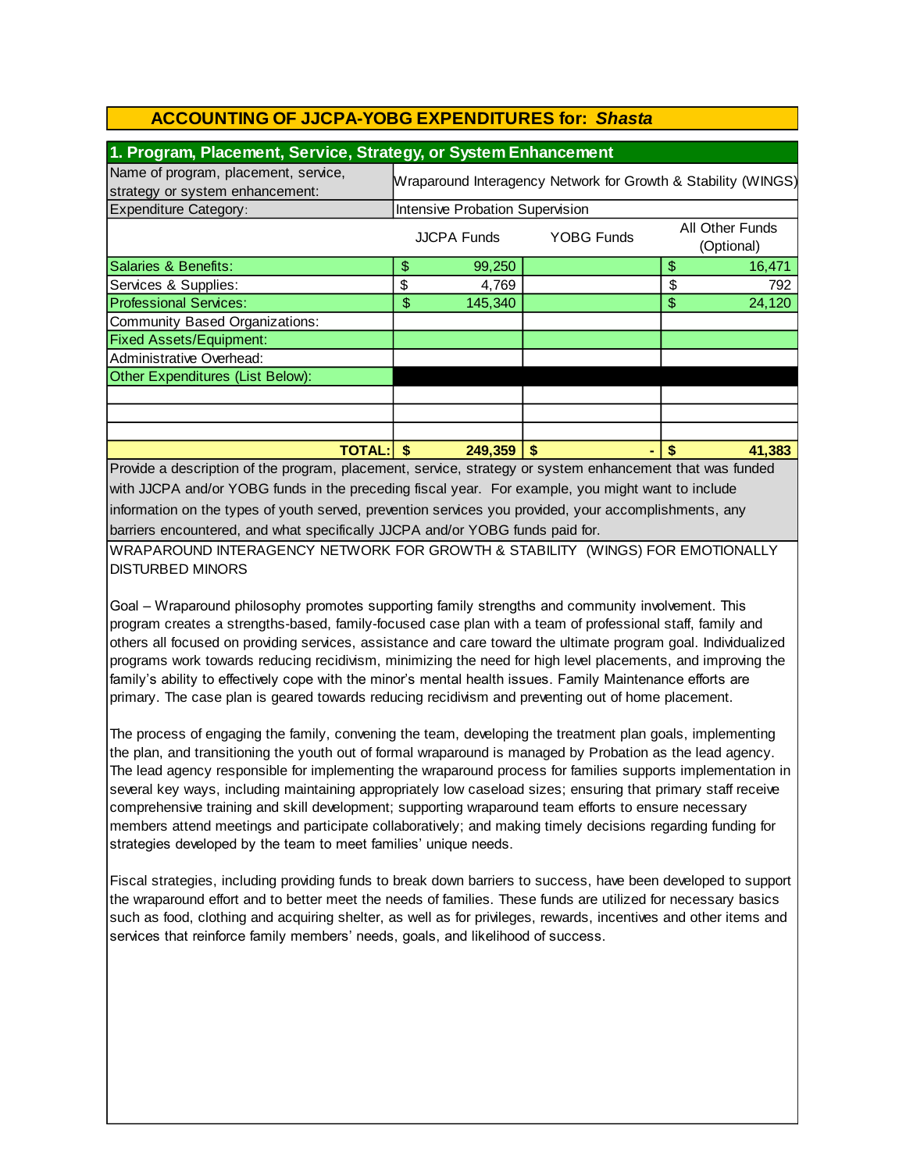## **1. Program, Placement, Service, Strategy, or System Enhancement**

| Name of program, placement, service,<br>strategy or system enhancement: | JJ /<br>Wraparound Interagency Network for Growth & Stability (WINGS) |         |    |    |                               |
|-------------------------------------------------------------------------|-----------------------------------------------------------------------|---------|----|----|-------------------------------|
| <b>Expenditure Category:</b>                                            | Intensive Probation Supervision                                       |         |    |    |                               |
|                                                                         | <b>YOBG Funds</b><br><b>JJCPA Funds</b>                               |         |    |    | All Other Funds<br>(Optional) |
| Salaries & Benefits:                                                    | \$                                                                    | 99,250  |    | \$ | 16,471                        |
| Services & Supplies:                                                    | \$                                                                    | 4,769   |    | \$ | 792                           |
| <b>Professional Services:</b>                                           | \$                                                                    | 145,340 |    | \$ | 24,120                        |
| Community Based Organizations:                                          |                                                                       |         |    |    |                               |
| <b>Fixed Assets/Equipment:</b>                                          |                                                                       |         |    |    |                               |
| Administrative Overhead:                                                |                                                                       |         |    |    |                               |
| Other Expenditures (List Below):                                        |                                                                       |         |    |    |                               |
|                                                                         |                                                                       |         |    |    |                               |
|                                                                         |                                                                       |         |    |    |                               |
|                                                                         |                                                                       |         |    |    |                               |
| <b>TOTAL: \$</b>                                                        |                                                                       | 249,359 | \$ |    | 41,383                        |

Provide a description of the program, placement, service, strategy or system enhancement that was funded with JJCPA and/or YOBG funds in the preceding fiscal year. For example, you might want to include information on the types of youth served, prevention services you provided, your accomplishments, any barriers encountered, and what specifically JJCPA and/or YOBG funds paid for.

WRAPAROUND INTERAGENCY NETWORK FOR GROWTH & STABILITY (WINGS) FOR EMOTIONALLY DISTURBED MINORS

Goal – Wraparound philosophy promotes supporting family strengths and community involvement. This program creates a strengths-based, family-focused case plan with a team of professional staff, family and others all focused on providing services, assistance and care toward the ultimate program goal. Individualized programs work towards reducing recidivism, minimizing the need for high level placements, and improving the family's ability to effectively cope with the minor's mental health issues. Family Maintenance efforts are primary. The case plan is geared towards reducing recidivism and preventing out of home placement.

The process of engaging the family, convening the team, developing the treatment plan goals, implementing the plan, and transitioning the youth out of formal wraparound is managed by Probation as the lead agency. The lead agency responsible for implementing the wraparound process for families supports implementation in several key ways, including maintaining appropriately low caseload sizes; ensuring that primary staff receive comprehensive training and skill development; supporting wraparound team efforts to ensure necessary members attend meetings and participate collaboratively; and making timely decisions regarding funding for strategies developed by the team to meet families' unique needs.

Fiscal strategies, including providing funds to break down barriers to success, have been developed to support the wraparound effort and to better meet the needs of families. These funds are utilized for necessary basics such as food, clothing and acquiring shelter, as well as for privileges, rewards, incentives and other items and services that reinforce family members' needs, goals, and likelihood of success.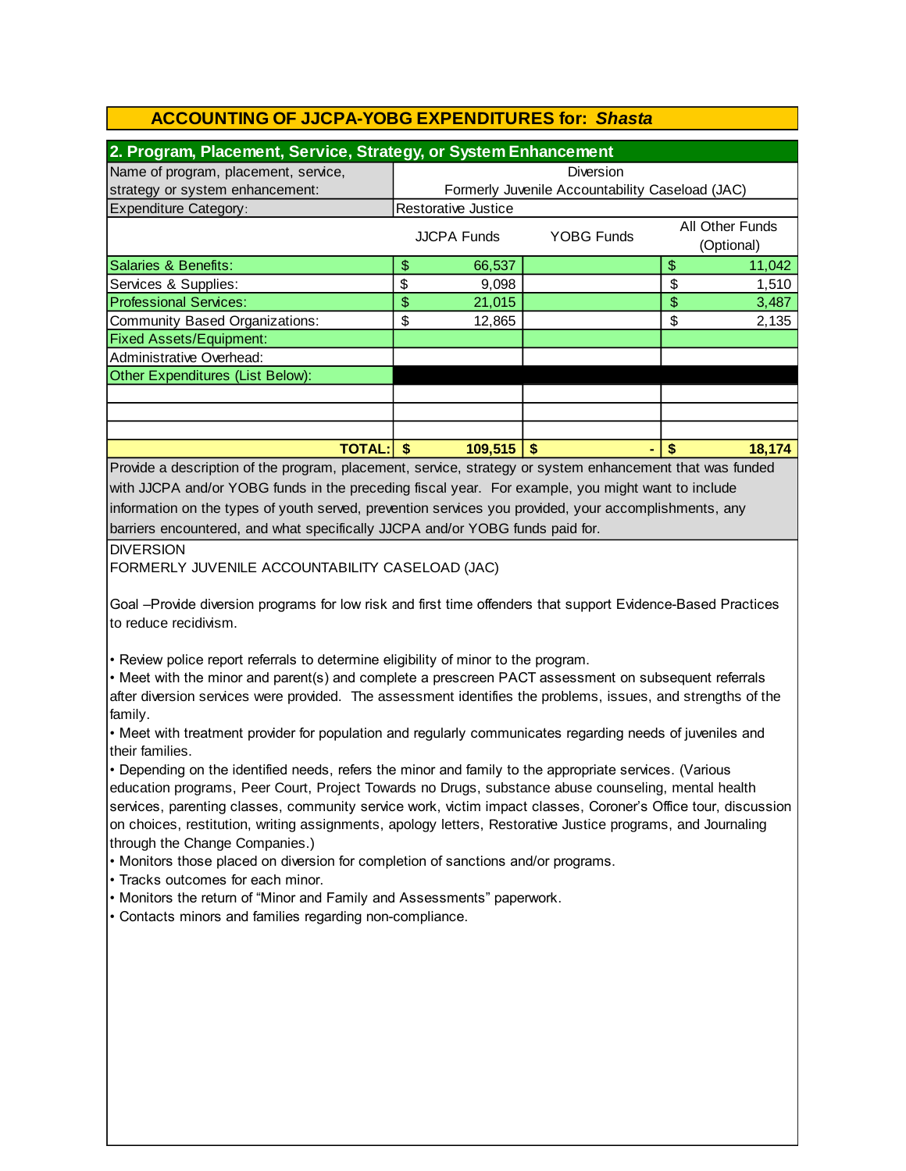| 2. Program, Placement, Service, Strategy, or System Enhancement |                                                 |                     |                   |    |                               |  |
|-----------------------------------------------------------------|-------------------------------------------------|---------------------|-------------------|----|-------------------------------|--|
| Name of program, placement, service,                            | Diversion                                       |                     |                   |    |                               |  |
| strategy or system enhancement:                                 | Formerly Juvenile Accountability Caseload (JAC) |                     |                   |    |                               |  |
| <b>Expenditure Category:</b>                                    |                                                 | Restorative Justice |                   |    |                               |  |
|                                                                 |                                                 | <b>JJCPA Funds</b>  | <b>YOBG Funds</b> |    | All Other Funds<br>(Optional) |  |
| Salaries & Benefits:                                            | \$                                              | 66,537              |                   | \$ | 11,042                        |  |
| Services & Supplies:                                            | \$                                              | 9,098               |                   | \$ | 1,510                         |  |
| <b>Professional Services:</b>                                   | \$                                              | 21,015              |                   | \$ | 3,487                         |  |
| Community Based Organizations:                                  | \$                                              | 12,865              |                   | \$ | 2,135                         |  |
| <b>Fixed Assets/Equipment:</b>                                  |                                                 |                     |                   |    |                               |  |
| Administrative Overhead:                                        |                                                 |                     |                   |    |                               |  |
| Other Expenditures (List Below):                                |                                                 |                     |                   |    |                               |  |
|                                                                 |                                                 |                     |                   |    |                               |  |
|                                                                 |                                                 |                     |                   |    |                               |  |
|                                                                 |                                                 |                     |                   |    |                               |  |
| TOTAL:l                                                         | \$                                              | 109.515             | \$                | \$ | 18,174                        |  |

barriers encountered, and what specifically JJCPA and/or YOBG funds paid for. Provide a description of the program, placement, service, strategy or system enhancement that was funded with JJCPA and/or YOBG funds in the preceding fiscal year. For example, you might want to include information on the types of youth served, prevention services you provided, your accomplishments, any

#### DIVERSION

FORMERLY JUVENILE ACCOUNTABILITY CASELOAD (JAC)

Goal –Provide diversion programs for low risk and first time offenders that support Evidence-Based Practices to reduce recidivism.

• Review police report referrals to determine eligibility of minor to the program.

• Meet with the minor and parent(s) and complete a prescreen PACT assessment on subsequent referrals after diversion services were provided. The assessment identifies the problems, issues, and strengths of the family.

• Meet with treatment provider for population and regularly communicates regarding needs of juveniles and their families.

• Depending on the identified needs, refers the minor and family to the appropriate services. (Various education programs, Peer Court, Project Towards no Drugs, substance abuse counseling, mental health services, parenting classes, community service work, victim impact classes, Coroner's Office tour, discussion on choices, restitution, writing assignments, apology letters, Restorative Justice programs, and Journaling through the Change Companies.)

• Monitors those placed on diversion for completion of sanctions and/or programs.

• Tracks outcomes for each minor.

• Monitors the return of "Minor and Family and Assessments" paperwork.

• Contacts minors and families regarding non-compliance.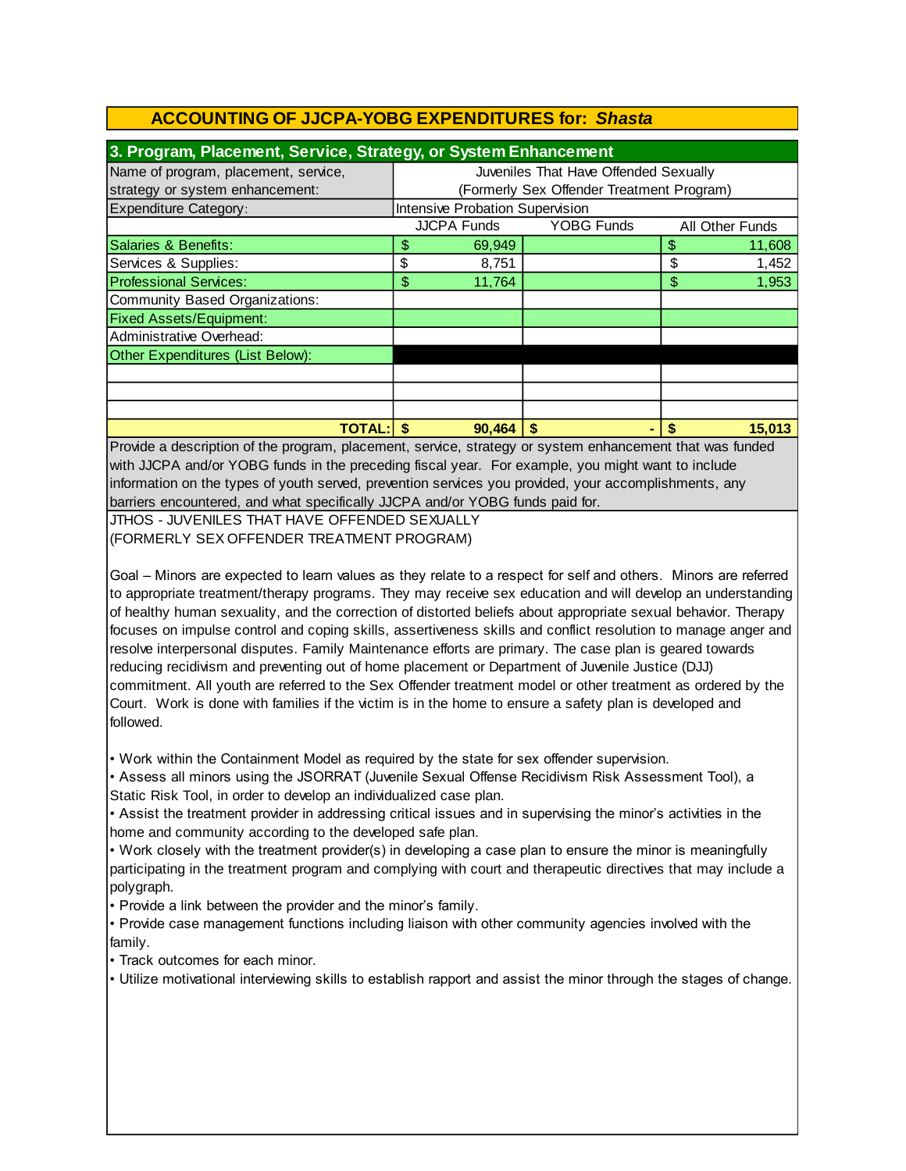| 3. Program, Placement, Service, Strategy, or System Enhancement |                                           |                                       |                   |       |                 |  |  |
|-----------------------------------------------------------------|-------------------------------------------|---------------------------------------|-------------------|-------|-----------------|--|--|
| Name of program, placement, service,                            |                                           | Juveniles That Have Offended Sexually |                   |       |                 |  |  |
| strategy or system enhancement:                                 | (Formerly Sex Offender Treatment Program) |                                       |                   |       |                 |  |  |
| <b>Expenditure Category:</b>                                    |                                           | Intensive Probation Supervision       |                   |       |                 |  |  |
|                                                                 |                                           | <b>JJCPA Funds</b>                    | <b>YOBG Funds</b> |       | All Other Funds |  |  |
| Salaries & Benefits:                                            | \$                                        | 69,949                                |                   | \$    | 11,608          |  |  |
| Services & Supplies:                                            | \$                                        | 8,751                                 |                   | \$    | 1,452           |  |  |
| <b>Professional Services:</b>                                   | \$<br>11,764<br>\$                        |                                       |                   | 1,953 |                 |  |  |
| Community Based Organizations:                                  |                                           |                                       |                   |       |                 |  |  |
| <b>Fixed Assets/Equipment:</b>                                  |                                           |                                       |                   |       |                 |  |  |
| Administrative Overhead:                                        |                                           |                                       |                   |       |                 |  |  |
| Other Expenditures (List Below):                                |                                           |                                       |                   |       |                 |  |  |
|                                                                 |                                           |                                       |                   |       |                 |  |  |
|                                                                 |                                           |                                       |                   |       |                 |  |  |
|                                                                 |                                           |                                       |                   |       |                 |  |  |
| 15,013<br><b>TOTAL:</b> I<br>90.464<br>S                        |                                           |                                       |                   |       |                 |  |  |

barriers encountered, and what specifically JJCPA and/or YOBG funds paid for. information on the types of youth served, prevention services you provided, your accomplishments, any Provide a description of the program, placement, service, strategy or system enhancement that was funded with JJCPA and/or YOBG funds in the preceding fiscal year. For example, you might want to include

JTHOS - JUVENILES THAT HAVE OFFENDED SEXUALLY (FORMERLY SEX OFFENDER TREATMENT PROGRAM)

Goal – Minors are expected to learn values as they relate to a respect for self and others. Minors are referred to appropriate treatment/therapy programs. They may receive sex education and will develop an understanding of healthy human sexuality, and the correction of distorted beliefs about appropriate sexual behavior. Therapy focuses on impulse control and coping skills, assertiveness skills and conflict resolution to manage anger and resolve interpersonal disputes. Family Maintenance efforts are primary. The case plan is geared towards reducing recidivism and preventing out of home placement or Department of Juvenile Justice (DJJ) commitment. All youth are referred to the Sex Offender treatment model or other treatment as ordered by the Court. Work is done with families if the victim is in the home to ensure a safety plan is developed and followed.

• Work within the Containment Model as required by the state for sex offender supervision.

• Assess all minors using the JSORRAT (Juvenile Sexual Offense Recidivism Risk Assessment Tool), a Static Risk Tool, in order to develop an individualized case plan.

• Assist the treatment provider in addressing critical issues and in supervising the minor's activities in the home and community according to the developed safe plan.

• Work closely with the treatment provider(s) in developing a case plan to ensure the minor is meaningfully participating in the treatment program and complying with court and therapeutic directives that may include a polygraph.

• Provide a link between the provider and the minor's family.

• Provide case management functions including liaison with other community agencies involved with the family.

• Track outcomes for each minor.

• Utilize motivational interviewing skills to establish rapport and assist the minor through the stages of change.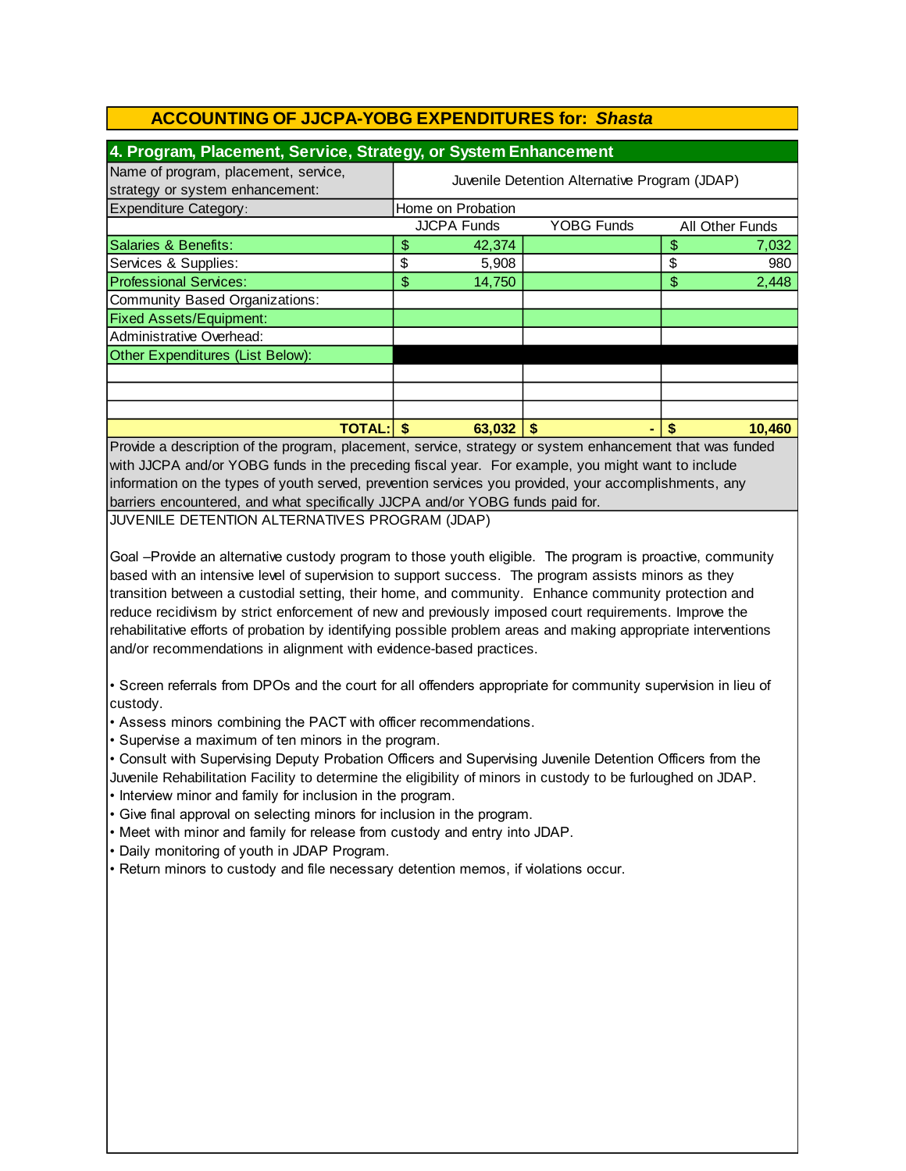| 4. Program, Placement, Service, Strategy, or System Enhancement                                                                                                                                                                                          |                                               |                   |  |                 |        |  |  |
|----------------------------------------------------------------------------------------------------------------------------------------------------------------------------------------------------------------------------------------------------------|-----------------------------------------------|-------------------|--|-----------------|--------|--|--|
| Name of program, placement, service,<br>strategy or system enhancement:                                                                                                                                                                                  | Juvenile Detention Alternative Program (JDAP) |                   |  |                 |        |  |  |
| <b>Expenditure Category:</b>                                                                                                                                                                                                                             |                                               | Home on Probation |  |                 |        |  |  |
|                                                                                                                                                                                                                                                          | <b>JJCPA Funds</b><br><b>YOBG Funds</b>       |                   |  | All Other Funds |        |  |  |
| Salaries & Benefits:                                                                                                                                                                                                                                     | \$                                            | 42,374            |  |                 | 7,032  |  |  |
| Services & Supplies:                                                                                                                                                                                                                                     | \$                                            | 5,908             |  | \$              | 980    |  |  |
| <b>Professional Services:</b>                                                                                                                                                                                                                            | \$                                            | 14,750            |  | \$              | 2,448  |  |  |
| Community Based Organizations:                                                                                                                                                                                                                           |                                               |                   |  |                 |        |  |  |
| <b>Fixed Assets/Equipment:</b>                                                                                                                                                                                                                           |                                               |                   |  |                 |        |  |  |
| Administrative Overhead:                                                                                                                                                                                                                                 |                                               |                   |  |                 |        |  |  |
| Other Expenditures (List Below):                                                                                                                                                                                                                         |                                               |                   |  |                 |        |  |  |
|                                                                                                                                                                                                                                                          |                                               |                   |  |                 |        |  |  |
|                                                                                                                                                                                                                                                          |                                               |                   |  |                 |        |  |  |
|                                                                                                                                                                                                                                                          |                                               |                   |  |                 |        |  |  |
| <b>TOTAL: \$</b><br><b>Interest the contract of the contract of the contract of the contract of the contract of the contract of the contract of the contract of the contract of the contract of the contract of the contract of the contract of the </b> |                                               | $63,032$   \$     |  |                 | 10,460 |  |  |

Provide a description of the program, placement, service, strategy or system enhancement that was funded with JJCPA and/or YOBG funds in the preceding fiscal year. For example, you might want to include information on the types of youth served, prevention services you provided, your accomplishments, any barriers encountered, and what specifically JJCPA and/or YOBG funds paid for.

JUVENILE DETENTION ALTERNATIVES PROGRAM (JDAP)

Goal –Provide an alternative custody program to those youth eligible. The program is proactive, community based with an intensive level of supervision to support success. The program assists minors as they transition between a custodial setting, their home, and community. Enhance community protection and reduce recidivism by strict enforcement of new and previously imposed court requirements. Improve the rehabilitative efforts of probation by identifying possible problem areas and making appropriate interventions and/or recommendations in alignment with evidence-based practices.

• Screen referrals from DPOs and the court for all offenders appropriate for community supervision in lieu of custody.

• Assess minors combining the PACT with officer recommendations.

• Supervise a maximum of ten minors in the program.

• Consult with Supervising Deputy Probation Officers and Supervising Juvenile Detention Officers from the

Juvenile Rehabilitation Facility to determine the eligibility of minors in custody to be furloughed on JDAP.

• Interview minor and family for inclusion in the program.

• Give final approval on selecting minors for inclusion in the program.

• Meet with minor and family for release from custody and entry into JDAP.

• Daily monitoring of youth in JDAP Program.

• Return minors to custody and file necessary detention memos, if violations occur.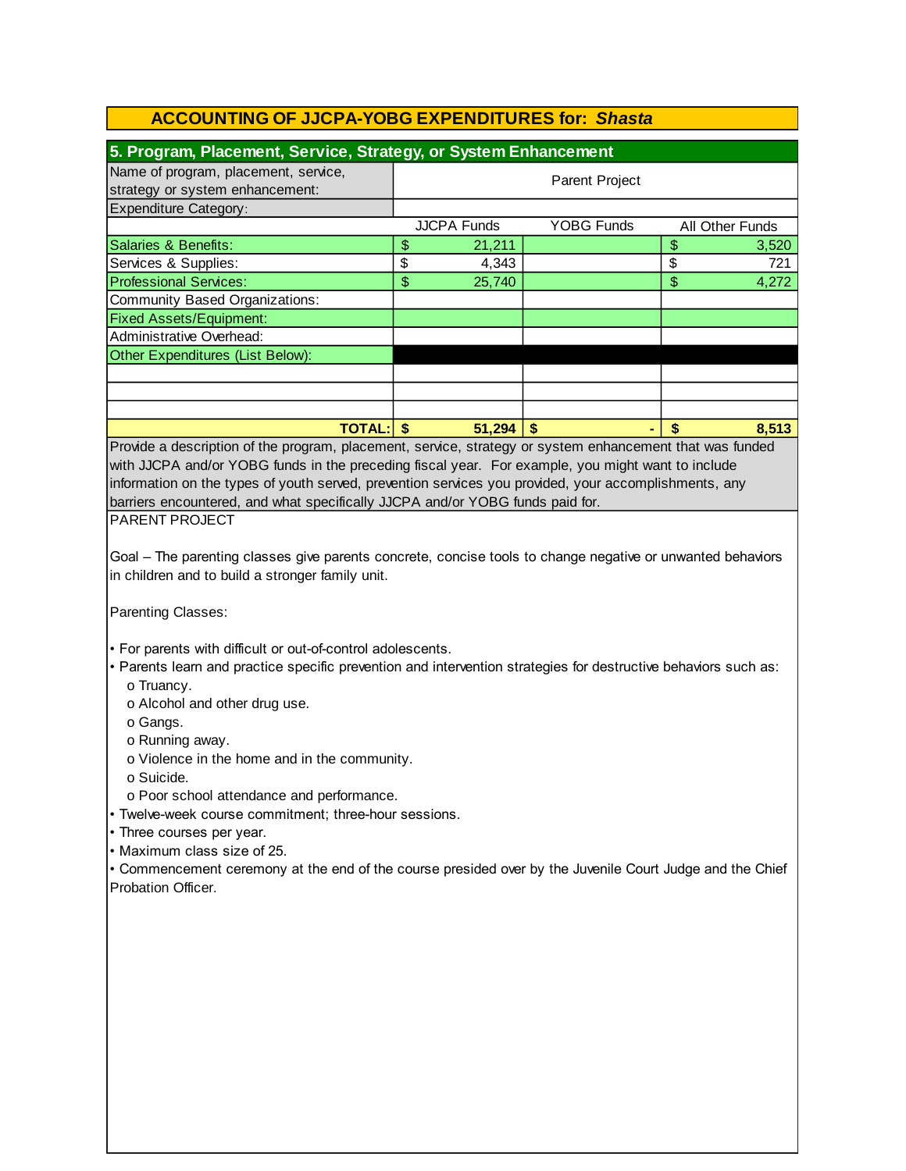| 5. Program, Placement, Service, Strategy, or System Enhancement                                                                                                                                                                                                                                                                                                                                                                                                                                                                                                                                                                |                |                    |                   |  |                          |                 |  |
|--------------------------------------------------------------------------------------------------------------------------------------------------------------------------------------------------------------------------------------------------------------------------------------------------------------------------------------------------------------------------------------------------------------------------------------------------------------------------------------------------------------------------------------------------------------------------------------------------------------------------------|----------------|--------------------|-------------------|--|--------------------------|-----------------|--|
| Name of program, placement, service,                                                                                                                                                                                                                                                                                                                                                                                                                                                                                                                                                                                           |                |                    |                   |  |                          |                 |  |
| strategy or system enhancement:                                                                                                                                                                                                                                                                                                                                                                                                                                                                                                                                                                                                | Parent Project |                    |                   |  |                          |                 |  |
| <b>Expenditure Category:</b>                                                                                                                                                                                                                                                                                                                                                                                                                                                                                                                                                                                                   |                |                    |                   |  |                          |                 |  |
|                                                                                                                                                                                                                                                                                                                                                                                                                                                                                                                                                                                                                                |                | <b>JJCPA Funds</b> | <b>YOBG Funds</b> |  |                          | All Other Funds |  |
| <b>Salaries &amp; Benefits:</b>                                                                                                                                                                                                                                                                                                                                                                                                                                                                                                                                                                                                | \$             | 21,211             |                   |  | \$                       | 3,520           |  |
| Services & Supplies:                                                                                                                                                                                                                                                                                                                                                                                                                                                                                                                                                                                                           | \$             | 4,343              |                   |  | \$                       | 721             |  |
| <b>Professional Services:</b>                                                                                                                                                                                                                                                                                                                                                                                                                                                                                                                                                                                                  | \$             | 25,740             |                   |  | $\overline{\mathcal{S}}$ | 4,272           |  |
| <b>Community Based Organizations:</b>                                                                                                                                                                                                                                                                                                                                                                                                                                                                                                                                                                                          |                |                    |                   |  |                          |                 |  |
| <b>Fixed Assets/Equipment:</b>                                                                                                                                                                                                                                                                                                                                                                                                                                                                                                                                                                                                 |                |                    |                   |  |                          |                 |  |
| Administrative Overhead:                                                                                                                                                                                                                                                                                                                                                                                                                                                                                                                                                                                                       |                |                    |                   |  |                          |                 |  |
| Other Expenditures (List Below):                                                                                                                                                                                                                                                                                                                                                                                                                                                                                                                                                                                               |                |                    |                   |  |                          |                 |  |
|                                                                                                                                                                                                                                                                                                                                                                                                                                                                                                                                                                                                                                |                |                    |                   |  |                          |                 |  |
|                                                                                                                                                                                                                                                                                                                                                                                                                                                                                                                                                                                                                                |                |                    |                   |  |                          |                 |  |
|                                                                                                                                                                                                                                                                                                                                                                                                                                                                                                                                                                                                                                |                |                    |                   |  |                          |                 |  |
| <b>TOTAL: \$</b>                                                                                                                                                                                                                                                                                                                                                                                                                                                                                                                                                                                                               |                | $51,294$ \\$       |                   |  | \$                       | 8,513           |  |
| Provide a description of the program, placement, service, strategy or system enhancement that was funded                                                                                                                                                                                                                                                                                                                                                                                                                                                                                                                       |                |                    |                   |  |                          |                 |  |
| with JJCPA and/or YOBG funds in the preceding fiscal year. For example, you might want to include                                                                                                                                                                                                                                                                                                                                                                                                                                                                                                                              |                |                    |                   |  |                          |                 |  |
|                                                                                                                                                                                                                                                                                                                                                                                                                                                                                                                                                                                                                                |                |                    |                   |  |                          |                 |  |
| information on the types of youth served, prevention services you provided, your accomplishments, any                                                                                                                                                                                                                                                                                                                                                                                                                                                                                                                          |                |                    |                   |  |                          |                 |  |
| barriers encountered, and what specifically JJCPA and/or YOBG funds paid for.                                                                                                                                                                                                                                                                                                                                                                                                                                                                                                                                                  |                |                    |                   |  |                          |                 |  |
| PARENT PROJECT                                                                                                                                                                                                                                                                                                                                                                                                                                                                                                                                                                                                                 |                |                    |                   |  |                          |                 |  |
|                                                                                                                                                                                                                                                                                                                                                                                                                                                                                                                                                                                                                                |                |                    |                   |  |                          |                 |  |
| Goal - The parenting classes give parents concrete, concise tools to change negative or unwanted behaviors                                                                                                                                                                                                                                                                                                                                                                                                                                                                                                                     |                |                    |                   |  |                          |                 |  |
| in children and to build a stronger family unit.                                                                                                                                                                                                                                                                                                                                                                                                                                                                                                                                                                               |                |                    |                   |  |                          |                 |  |
| Parenting Classes:                                                                                                                                                                                                                                                                                                                                                                                                                                                                                                                                                                                                             |                |                    |                   |  |                          |                 |  |
| . For parents with difficult or out-of-control adolescents.<br>• Parents learn and practice specific prevention and intervention strategies for destructive behaviors such as:<br>o Truancy.<br>o Alcohol and other drug use.<br>o Gangs.<br>o Running away.<br>o Violence in the home and in the community.<br>o Suicide.<br>o Poor school attendance and performance.<br>• Twelve-week course commitment; three-hour sessions.<br>• Three courses per year.<br>• Maximum class size of 25.<br>• Commencement ceremony at the end of the course presided over by the Juvenile Court Judge and the Chief<br>Probation Officer. |                |                    |                   |  |                          |                 |  |
|                                                                                                                                                                                                                                                                                                                                                                                                                                                                                                                                                                                                                                |                |                    |                   |  |                          |                 |  |